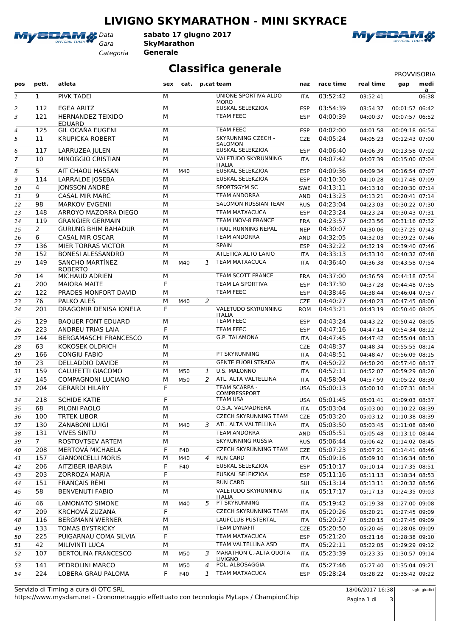## **LIVIGNO SKYMARATHON - MINI SKYRACE**



*Gara* **SkyMarathon** *Categoria* **Generale sabato 17 giugno 2017**



## **Classifica generale** PROVISORIA

|                |                |                                           |     |     |                |                                             |            |           |           | <b>FNUVVIJUNIA</b> |           |
|----------------|----------------|-------------------------------------------|-----|-----|----------------|---------------------------------------------|------------|-----------|-----------|--------------------|-----------|
| pos            | pett.          | atleta                                    | sex |     |                | cat. p.cat team                             | naz        | race time | real time | gap                | medi<br>a |
| 1              | $\mathbf{1}$   | <b>PIVK TADEI</b>                         | М   |     |                | UNIONE SPORTIVA ALDO<br><b>MORO</b>         | <b>ITA</b> | 03:52:42  | 03:52:41  |                    | 06:38     |
| $\overline{2}$ | 112            | <b>EGEA ARITZ</b>                         | M   |     |                | EUSKAL SELEKZIOA                            | <b>ESP</b> | 03:54:39  | 03:54:37  | 00:01:57 06:42     |           |
| 3              | 121            | <b>HERNANDEZ TEIXIDO</b><br><b>EDUARD</b> | M   |     |                | <b>TEAM FEEC</b>                            | <b>ESP</b> | 04:00:39  | 04:00:37  | 00:07:57 06:52     |           |
| 4              | 125            | GIL OCAÑA EUGENI                          | M   |     |                | <b>TEAM FEEC</b>                            | <b>ESP</b> | 04:02:00  | 04:01:58  | 00:09:18 06:54     |           |
| 5              | 11             | <b>KRUPICKA ROBERT</b>                    | M   |     |                | <b>SKYRUNNING CZECH -</b><br><b>SALOMON</b> | <b>CZE</b> | 04:05:24  | 04:05:23  | 00:12:43 07:00     |           |
| 6              | 117            | LARRUZEA JULEN                            | M   |     |                | EUSKAL SELEKZIOA                            | <b>ESP</b> | 04:06:40  | 04:06:39  | 00:13:58 07:02     |           |
| $\overline{7}$ | 10             | <b>MINOGGIO CRISTIAN</b>                  | M   |     |                | VALETUDO SKYRUNNING<br><b>ITALIA</b>        | <b>ITA</b> | 04:07:42  | 04:07:39  | 00:15:00 07:04     |           |
| 8              | 5              | AIT CHAOU HASSAN                          | М   | M40 |                | EUSKAL SELEKZIOA                            | <b>ESP</b> | 04:09:36  | 04:09:34  | 00:16:54 07:07     |           |
| 9              | 114            | LARRALDE JOSEBA                           | M   |     |                | EUSKAL SELEKZIOA                            | <b>ESP</b> | 04:10:30  | 04:10:28  | 00:17:48 07:09     |           |
| 10             | 4              | <b>JONSSON ANDRÈ</b>                      | M   |     |                | SPORTSGYM SC                                | <b>SWE</b> | 04:13:11  | 04:13:10  | 00:20:30 07:14     |           |
| 11             | 9              | <b>CASAL MIR MARC</b>                     | M   |     |                | TEAM ANDORRA                                | <b>AND</b> | 04:13:23  | 04:13:21  | 00:20:41 07:14     |           |
| 12             | 98             | <b>MARKOV EVGENII</b>                     | M   |     |                | SALOMON RUSSIAN TEAM                        | <b>RUS</b> | 04:23:04  | 04:23:03  | 00:30:22 07:30     |           |
| 13             | 148            | ARROYO MAZORRA DIEGO                      | M   |     |                | <b>TEAM MATXACUCA</b>                       | <b>ESP</b> | 04:23:24  | 04:23:24  | 00:30:43 07:31     |           |
| 14             | 119            | <b>GRANGIER GERMAIN</b>                   | M   |     |                | TEAM INOV-8 FRANCE                          | <b>FRA</b> | 04:23:57  | 04:23:56  | 00:31:16 07:32     |           |
| 15             | $\overline{2}$ | <b>GURUNG BHIM BAHADUR</b>                | M   |     |                | TRAIL RUNNING NEPAL                         | <b>NEP</b> | 04:30:07  | 04:30:06  | 00:37:25 07:43     |           |
| 16             | 6              | <b>CASAL MIR OSCAR</b>                    | M   |     |                | <b>TEAM ANDORRA</b>                         | AND        | 04:32:05  | 04:32:03  | 00:39:23 07:46     |           |
| 17             | 136            | MIER TORRAS VICTOR                        | M   |     |                | <b>SPAIN</b>                                | <b>ESP</b> | 04:32:22  | 04:32:19  | 00:39:40 07:46     |           |
| 18             | 152            | <b>BONESI ALESSANDRO</b>                  | M   |     |                | ATLETICA ALTO LARIO                         | <b>ITA</b> | 04:33:13  | 04:33:10  | 00:40:32 07:48     |           |
| 19             | 149            | SANCHO MARTÍNEZ<br><b>ROBERTO</b>         | M   | M40 | $\mathcal{I}$  | <b>TEAM MATXACUCA</b>                       | <b>ITA</b> | 04:36:40  | 04:36:38  | 00:43:58 07:54     |           |
| 20             | 14             | MICHAUD ADRIEN                            | M   |     |                | TEAM SCOTT FRANCE                           | <b>FRA</b> | 04:37:00  | 04:36:59  | 00:44:18 07:54     |           |
| 21             | 200            | <b>MAIORA MAITE</b>                       | F   |     |                | TEAM LA SPORTIVA                            | <b>ESP</b> | 04:37:30  | 04:37:28  | 00:44:48 07:55     |           |
| 22             | 122            | PRADES MONFORT DAVID                      | M   |     |                | <b>TEAM FEEC</b>                            | <b>ESP</b> | 04:38:46  | 04:38:44  | 00:46:04 07:57     |           |
| 23             | 76             | PALKO ALEŠ                                | M   | M40 | 2              |                                             | <b>CZE</b> | 04:40:27  | 04:40:23  | 00:47:45 08:00     |           |
| 24             | 201            | DRAGOMIR DENISA IONELA                    | F   |     |                | VALETUDO SKYRUNNING<br><b>ITALIA</b>        | <b>ROM</b> | 04:43:21  | 04:43:19  | 00:50:40 08:05     |           |
| 25             | 129            | <b>BAQUER FONT EDUARD</b>                 | M   |     |                | <b>TEAM FEEC</b>                            | <b>ESP</b> | 04:43:24  | 04:43:22  | 00:50:42 08:05     |           |
| 26             | 223            | ANDREU TRIAS LAIA                         | F   |     |                | <b>TEAM FEEC</b>                            | <b>ESP</b> | 04:47:16  | 04:47:14  | 00:54:34 08:12     |           |
| 27             | 144            | <b>BERGAMASCHI FRANCESCO</b>              | М   |     |                | G.P. TALAMONA                               | <b>ITA</b> | 04:47:45  | 04:47:42  | 00:55:04 08:13     |           |
| 28             | 63             | KOKOSEK OLDRICH                           | M   |     |                |                                             | <b>CZE</b> | 04:48:37  | 04:48:34  | 00:55:55 08:14     |           |
| 29             | 166            | <b>CONGIU FABIO</b>                       | M   |     |                | PT SKYRUNNING                               | <b>ITA</b> | 04:48:51  | 04:48:47  | 00:56:09 08:15     |           |
| 30             | 23             | <b>DELLADDIO DAVIDE</b>                   | M   |     |                | <b>GENTE FUORI STRADA</b>                   | <b>ITA</b> | 04:50:22  | 04:50:20  | 00:57:40 08:17     |           |
| 31             | 159            | CALUFETTI GIACOMO                         | M   | M50 | $\mathcal{I}$  | U.S. MALONNO                                | <b>ITA</b> | 04:52:11  | 04:52:07  | 00:59:29 08:20     |           |
| 32             | 145            | <b>COMPAGNONI LUCIANO</b>                 | M   | M50 | 2              | ATL. ALTA VALTELLINA                        | <b>ITA</b> | 04:58:04  | 04:57:59  | 01:05:22 08:30     |           |
| 33             | 204            | <b>GERARDI HILARY</b>                     | F   |     |                | <b>TEAM SCARPA -</b>                        | <b>USA</b> | 05:00:13  | 05:00:10  | 01:07:31 08:34     |           |
|                | 218            | <b>SCHIDE KATIE</b>                       | F   |     |                | <b>COMPRESSPORT</b><br><b>TEAM USA</b>      |            | 05:01:45  |           |                    |           |
| 34             |                |                                           |     |     |                | O.S.A. VALMADRERA                           | <b>USA</b> |           | 05:01:41  | 01:09:03 08:37     |           |
| 35             | 68             | PILONI PAOLO                              | M   |     |                |                                             | <b>ITA</b> | 05:03:04  | 05:03:00  | 01:10:22 08:39     |           |
| 36             | 100            | <b>TRTEK LIBOR</b>                        | М   |     |                | <b>CZECH SKYRUNNING TEAM</b>                | CZE        | 05:03:20  | 05:03:12  | 01:10:38 08:39     |           |
| 37             | 130            | <b>ZANABONI LUIGI</b>                     | М   | M40 |                | 3 ATL. ALTA VALTELLINA                      | ITA        | 05:03:50  | 05:03:45  | 01:11:08 08:40     |           |
| 38             | 131            | <b>VIVES SINTU</b>                        | M   |     |                | <b>TEAM ANDORRA</b>                         | AND        | 05:05:51  | 05:05:48  | 01:13:10 08:44     |           |
| 39             | 7 <sup>7</sup> | <b>ROSTOVTSEV ARTEM</b>                   | М   |     |                | SKYRUNNING RUSSIA                           | <b>RUS</b> | 05:06:44  | 05:06:42  | 01:14:02 08:45     |           |
| 40             | 208            | MERTOVÁ MICHAELA                          | F   | F40 |                | <b>CZECH SKYRUNNING TEAM</b>                | <b>CZE</b> | 05:07:23  | 05:07:21  | 01:14:41 08:46     |           |
| 41             | 157            | <b>GIANONCELLI MORIS</b>                  | М   | M40 | $\overline{a}$ | <b>RUN CARD</b>                             | ITA        | 05:09:16  | 05:09:10  | 01:16:34 08:50     |           |
| 42             | 206            | AITZIBER IBARBIA                          | F   | F40 |                | EUSKAL SELEKZIOA                            | <b>ESP</b> | 05:10:17  | 05:10:14  | 01:17:35 08:51     |           |
| 43             | 203            | ZORROZA MARIA                             | F   |     |                | EUSKAL SELEKZIOA                            | <b>ESP</b> | 05:11:16  | 05:11:13  | 01:18:34 08:53     |           |
| 44             | 151            | FRANÇAIS RÉMI                             | M   |     |                | <b>RUN CARD</b>                             | SUI        | 05:13:14  | 05:13:11  | 01:20:32 08:56     |           |
| 45             | 58             | <b>BENVENUTI FABIO</b>                    | М   |     |                | VALETUDO SKYRUNNING<br><b>ITALIA</b>        | ITA        | 05:17:17  | 05:17:13  | 01:24:35 09:03     |           |
| 46             | 46             | <b>LAMONATO SIMONE</b>                    | М   | M40 |                | 5 PT SKYRUNNING                             | <b>ITA</b> | 05:19:42  | 05:19:38  | 01:27:00 09:08     |           |
| 47             | 209            | KRCHOVÁ ZUZANA                            | F   |     |                | <b>CZECH SKYRUNNING TEAM</b>                | ITA        | 05:20:26  | 05:20:21  | 01:27:45 09:09     |           |
| 48             | 116            | <b>BERGMANN WERNER</b>                    | M   |     |                | LAUFCLUB PUSTERTAL                          | ITA        | 05:20:27  | 05:20:15  | 01:27:45 09:09     |           |
| 49             | 133            | <b>TOMAS BYSTRICKY</b>                    | M   |     |                | <b>TEAM DYNAFIT</b>                         | <b>CZE</b> | 05:20:50  | 05:20:46  | 01:28:08 09:09     |           |
| 50             | 225            | PUIGARNAU COMA SILVIA                     | F   |     |                | <b>TEAM MATXACUCA</b>                       | <b>ESP</b> | 05:21:20  | 05:21:16  | 01:28:38 09:10     |           |
| 51             | 42             | <b>MILIVINTI LUCA</b>                     | М   |     |                | TEAM VALTELLINA ASD                         | <b>ITA</b> | 05:22:11  | 05:22:05  | 01:29:29 09:12     |           |
| 52             | 107            | <b>BERTOLINA FRANCESCO</b>                | М   | M50 | 3              | MARATHON C.-ALTA QUOTA<br><b>LIVIGNO</b>    | <b>ITA</b> | 05:23:39  | 05:23:35  | 01:30:57 09:14     |           |
| 53             | 141            | PEDROLINI MARCO                           | М   | M50 | 4              | POL. ALBOSAGGIA                             | <b>ITA</b> | 05:27:46  | 05:27:40  | 01:35:04 09:21     |           |
| 54             | 224            | LOBERA GRAU PALOMA                        | F   | F40 | 1              | <b>TEAM MATXACUCA</b>                       | <b>ESP</b> | 05:28:24  | 05:28:22  | 01:35:42 09:22     |           |

https://www.mysdam.net - Cronometraggio effettuato con tecnologia MyLaps / ChampionChip Servizio di Timing a cura di OTC SRL 18/06/2017 16:38

Pagina 1 di 3

sigle giudici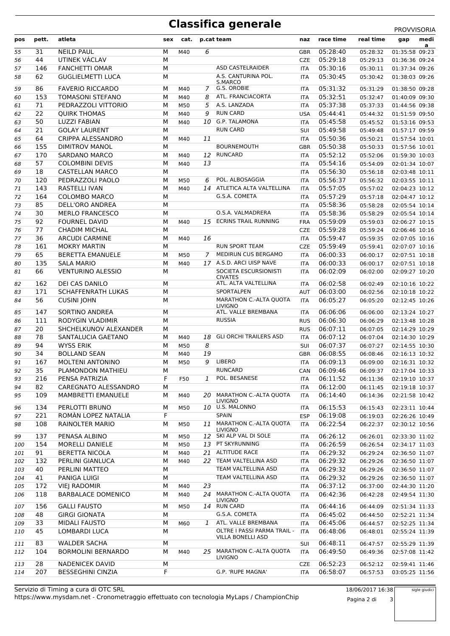## **Classifica generale** PROVVISORIA

| pos | pett.      | atleta                                  | sex | cat. |    | p.cat team                               | naz        | race time | real time | medi<br>gap<br>a                    |
|-----|------------|-----------------------------------------|-----|------|----|------------------------------------------|------------|-----------|-----------|-------------------------------------|
| 55  | 31         | <b>NEILD PAUL</b>                       | M   | M40  | 6  |                                          | <b>GBR</b> | 05:28:40  | 05:28:32  | 01:35:58 09:23                      |
| 56  | 44         | UTINEK VÁCLAV                           | M   |      |    |                                          | <b>CZE</b> | 05:29:18  | 05:29:13  | 01:36:36 09:24                      |
| 57  | 146        | <b>FANCHETTI OMAR</b>                   | M   |      |    | ASD CASTELRAIDER                         | <b>ITA</b> | 05:30:16  | 05:30:11  | 01:37:34 09:26                      |
| 58  | 62         | <b>GUGLIELMETTI LUCA</b>                | М   |      |    | A.S. CANTURINA POL.<br>S.MARCO           | <b>ITA</b> | 05:30:45  | 05:30:42  | 01:38:03 09:26                      |
| 59  | 86         | <b>FAVERIO RICCARDO</b>                 | М   | M40  |    | 7 G.S. OROBIE                            | <b>ITA</b> | 05:31:32  | 05:31:29  | 01:38:50 09:28                      |
| 60  | 153        | <b>TOMASONI STEFANO</b>                 | М   | M40  | 8  | ATL. FRANCIACORTA                        | <b>ITA</b> | 05:32:51  | 05:32:47  | 01:40:09 09:30                      |
| 61  | 71         | PEDRAZZOLI VITTORIO                     | M   | M50  | 5. | A.S. LANZADA                             | <b>ITA</b> | 05:37:38  | 05:37:33  | 01:44:56 09:38                      |
| 62  | 22         | <b>QUIRK THOMAS</b>                     | M   | M40  | 9  | <b>RUN CARD</b>                          | <b>USA</b> | 05:44:41  | 05:44:32  | 01:51:59 09:50                      |
| 63  | 50         | <b>LUZZI FABIAN</b>                     | М   | M40  |    | 10 G.P. TALAMONA                         | <b>ITA</b> | 05:45:58  | 05:45:52  | 01:53:16 09:53                      |
| 64  | 21         | <b>GOLAY LAURENT</b>                    | M   |      |    | <b>RUN CARD</b>                          | SUI        | 05:49:58  | 05:49:48  | 01:57:17 09:59                      |
| 65  | 64         | CRIPPA ALESSANDRO                       | M   | M40  | 11 |                                          | <b>ITA</b> | 05:50:36  | 05:50:21  | 01:57:54 10:01                      |
|     |            |                                         |     |      |    | <b>BOURNEMOUTH</b>                       |            | 05:50:38  |           |                                     |
| 66  | 155<br>170 | DIMITROV MANOL                          | М   |      | 12 | <b>RUNCARD</b>                           | <b>GBR</b> | 05:52:12  | 05:50:33  | 01:57:56 10:01                      |
| 67  | 57         | SARDANO MARCO<br><b>COLOMBINI DEVIS</b> | М   | M40  | 13 |                                          | <b>ITA</b> | 05:54:16  | 05:52:06  | 01:59:30 10:03                      |
| 68  |            |                                         | M   | M40  |    |                                          | <b>ITA</b> |           | 05:54:09  | 02:01:34 10:07                      |
| 69  | 18         | <b>CASTELLAN MARCO</b>                  | M   |      |    | POL. ALBOSAGGIA                          | <b>ITA</b> | 05:56:30  | 05:56:18  | 02:03:48 10:11                      |
| 70  | 120        | PEDRAZZOLI PAOLO                        | М   | M50  | 6  |                                          | <b>ITA</b> | 05:56:37  | 05:56:32  | 02:03:55 10:11                      |
| 71  | 143        | RASTELLI IVAN                           | M   | M40  | 14 | ATLETICA ALTA VALTELLINA                 | <b>ITA</b> | 05:57:05  | 05:57:02  | 02:04:23 10:12                      |
| 72  | 164        | <b>COLOMBO MARCO</b>                    | M   |      |    | G.S.A. COMETA                            | <b>ITA</b> | 05:57:29  | 05:57:18  | 02:04:47 10:12                      |
| 73  | 85         | DELL'ORO ANDREA                         | M   |      |    |                                          | <b>ITA</b> | 05:58:36  | 05:58:28  | 02:05:54 10:14                      |
| 74  | 30         | <b>MERLO FRANCESCO</b>                  | M   |      |    | O.S.A. VALMADRERA                        | <b>ITA</b> | 05:58:36  | 05:58:29  | 02:05:54 10:14                      |
| 75  | 92         | <b>FOURNEL DAVID</b>                    | М   | M40  |    | 15 ECRINS TRAIL RUNNING                  | <b>FRA</b> | 05:59:09  | 05:59:03  | 02:06:27 10:15                      |
| 76  | 77         | <b>CHADIM MICHAL</b>                    | M   |      |    |                                          | <b>CZE</b> | 05:59:28  | 05:59:24  | 02:06:46 10:16                      |
| 77  | 36         | <b>ARCUDI CARMINE</b>                   | M   | M40  | 16 |                                          | <b>ITA</b> | 05:59:47  | 05:59:35  | 02:07:05 10:16                      |
| 78  | 161        | <b>MOKRY MARTIN</b>                     | М   |      |    | <b>RUN SPORT TEAM</b>                    | <b>CZE</b> | 05:59:49  | 05:59:41  | 02:07:07 10:16                      |
| 79  | 65         | <b>BERETTA EMANUELE</b>                 | М   | M50  | 7  | MEDIRUN CUS BERGAMO                      | <b>ITA</b> | 06:00:33  | 06:00:17  | 02:07:51 10:18                      |
| 80  | 135        | <b>SALA MARIO</b>                       | M   | M40  |    | 17 A.S.D. ARCI UISP NAVE                 | <b>ITA</b> | 06:00:33  | 06:00:17  | 02:07:51 10:18                      |
| 81  | 66         | <b>VENTURINO ALESSIO</b>                | M   |      |    | SOCIETA ESCURSIONISTI                    | <b>ITA</b> | 06:02:09  | 06:02:00  | 02:09:27 10:20                      |
| 82  | 162        | DEI CAS DANILO                          | М   |      |    | <b>CIVATES</b><br>ATL. ALTA VALTELLINA   | <b>ITA</b> | 06:02:58  | 06:02:49  | 02:10:16 10:22                      |
| 83  | 171        | <b>SCHAFFENRATH LUKAS</b>               | M   |      |    | SPORTALPEN                               | AUT        | 06:03:00  | 06:02:56  | 02:10:18 10:22                      |
| 84  | 56         | <b>CUSINI JOHN</b>                      | M   |      |    | MARATHON C .- ALTA QUOTA                 | <b>ITA</b> | 06:05:27  | 06:05:20  | 02:12:45 10:26                      |
|     |            |                                         |     |      |    | <b>LIVIGNO</b>                           |            |           |           |                                     |
| 85  | 147        | SORTINO ANDREA                          | М   |      |    | ATL. VALLE BREMBANA                      | <b>ITA</b> | 06:06:06  | 06:06:00  | 02:13:24 10:27                      |
| 86  | 111        | RODYGIN VLADIMIR                        | M   |      |    | <b>RUSSIA</b>                            | <b>RUS</b> | 06:06:30  | 06:06:29  | 02:13:48 10:28                      |
| 87  | 20         | SHCHELKUNOV ALEXANDER                   | М   |      |    |                                          | <b>RUS</b> | 06:07:11  | 06:07:05  | 02:14:29 10:29                      |
| 88  | 78         | SANTALUCIA GAETANO                      | М   | M40  | 18 | <b>GLI ORCHI TRAILERS ASD</b>            | <b>ITA</b> | 06:07:12  | 06:07:04  | 02:14:30 10:29                      |
| 89  | 94         | <b>WYSS ERIK</b>                        | М   | M50  | 8  |                                          | <b>SUI</b> | 06:07:37  | 06:07:27  | 02:14:55 10:30                      |
| 90  | 34         | <b>BOLLAND SEAN</b>                     | M   | M40  | 19 |                                          | <b>GBR</b> | 06:08:55  | 06:08:46  | 02:16:13 10:32                      |
| 91  | 167        | <b>MOLTENI ANTONINO</b>                 | М   | M50  | 9  | LIBERO                                   | <b>ITA</b> | 06:09:13  | 06:09:00  | 02:16:31 10:32                      |
| 92  | 35         | PLAMONDON MATHIEU                       | M   |      |    | RUNCARD                                  | <b>CAN</b> |           |           | 06:09:46  06:09:37  02:17:04  10:33 |
| 93  | 216        | PENSA PATRIZIA                          | F   | F50  | 1  | POL. BESANESE                            | <b>ITA</b> | 06:11:52  | 06:11:36  | 02:19:10 10:37                      |
| 94  | 82         | CAREGNATO ALESSANDRO                    | М   |      |    |                                          | ITA        | 06:12:00  | 06:11:45  | 02:19:18 10:37                      |
| 95  | 109        | <b>MAMBRETTI EMANUELE</b>               | М   | M40  |    | 20 MARATHON C.-ALTA QUOTA                | ITA        | 06:14:40  | 06:14:36  | 02:21:58 10:42                      |
|     |            |                                         |     |      |    | <b>LIVIGNO</b><br>10 U.S. MALONNO        |            |           |           |                                     |
| 96  | 134        | PERLOTTI BRUNO                          | М   | M50  |    | <b>SPAIN</b>                             | <b>ITA</b> | 06:15:53  | 06:15:43  | 02:23:11 10:44                      |
| 97  | 221        | ROMÀN LOPEZ NATALIA                     | F   |      |    |                                          | <b>ESP</b> | 06:19:08  | 06:19:03  | 02:26:26 10:49                      |
| 98  | 108        | <b>RAINOLTER MARIO</b>                  | м   | M50  | 11 | MARATHON C.-ALTA QUOTA<br><b>LIVIGNO</b> | <b>ITA</b> | 06:22:54  | 06:22:37  | 02:30:12 10:56                      |
| 99  | 137        | PENASA ALBINO                           | M   | M50  |    | 12 SKI ALP VAL DI SOLE                   | ITA        | 06:26:12  | 06:26:01  | 02:33:30 11:02                      |
| 100 | 154        | <b>MORELLI DANIELE</b>                  | M   | M50  |    | 13 PT SKYRUNNING                         | <b>ITA</b> | 06:26:59  | 06:26:54  | 02:34:17 11:03                      |
| 101 | 91         | <b>BERETTA NICOLA</b>                   | М   | M40  |    | 21 ALTITUDE RACE                         | <b>ITA</b> | 06:29:32  | 06:29:24  | 02:36:50 11:07                      |
| 102 | 132        | PERLINI GIANLUCA                        | M   | M40  |    | 22 TEAM VALTELLINA ASD                   | <b>ITA</b> | 06:29:32  | 06:29:26  | 02:36:50 11:07                      |
| 103 | 40         | PERLINI MATTEO                          | M   |      |    | TEAM VALTELLINA ASD                      | <b>ITA</b> | 06:29:32  | 06:29:26  | 02:36:50 11:07                      |
| 104 | 41         | PANIGA LUIGI                            | М   |      |    | TEAM VALTELLINA ASD                      | ITA        | 06:29:32  | 06:29:26  | 02:36:50 11:07                      |
| 105 | 172        | <b>VIEJ RADOMIR</b>                     | м   | M40  | 23 |                                          | <b>ITA</b> | 06:37:12  | 06:37:00  | 02:44:30 11:20                      |
| 106 | 118        | <b>BARBALACE DOMENICO</b>               | М   | M40  |    | 24 MARATHON C.-ALTA QUOTA                | <b>ITA</b> | 06:42:36  | 06:42:28  | 02:49:54 11:30                      |
|     |            |                                         |     |      |    | <b>LIVIGNO</b>                           |            |           |           |                                     |
| 107 | 156        | <b>GALLI FAUSTO</b>                     | M   | M50  |    | 14 RUN CARD                              | <b>ITA</b> | 06:44:16  | 06:44:09  | 02:51:34 11:33                      |
| 108 | 48         | <b>GIRGI GIONATA</b>                    | M   |      |    | G.S.A. COMETA                            | <b>ITA</b> | 06:45:02  | 06:44:50  | 02:52:21 11:34                      |
| 109 | 33         | <b>MIDALI FAUSTO</b>                    | М   | M60  | 1  | ATL. VALLE BREMBANA                      | ITA        | 06:45:06  | 06:44:57  | 02:52:25 11:34                      |
| 110 | 45         | LOMBARDI LUCA                           | M   |      |    | OLTRE I PASSI PARMA TRAIL -              | <b>ITA</b> | 06:48:06  | 06:48:01  | 02:55:24 11:39                      |
| 111 | 83         | <b>WALDER SACHA</b>                     | м   |      |    | VILLA BONELLI ASD                        | <b>SUI</b> | 06:48:11  | 06:47:57  | 02:55:29 11:39                      |
| 112 | 104        | <b>BORMOLINI BERNARDO</b>               | М   | M40  |    | 25 MARATHON C.-ALTA QUOTA                | <b>ITA</b> | 06:49:50  | 06:49:36  | 02:57:08 11:42                      |
|     |            |                                         |     |      |    | <b>LIVIGNO</b>                           |            |           |           |                                     |
| 113 | 28         | <b>NADENICEK DAVID</b>                  | М   |      |    |                                          | CZE        | 06:52:23  | 06:52:12  | 02:59:41 11:46                      |
| 114 | 207        | <b>BESSEGHINI CINZIA</b>                | F   |      |    | G.P. 'RUPE MAGNA'                        | <b>ITA</b> | 06:58:07  | 06:57:53  | 03:05:25 11:56                      |

https://www.mysdam.net - Cronometraggio effettuato con tecnologia MyLaps / ChampionChip Servizio di Timing a cura di OTC SRL 18/06/2017 16:38

Pagina 2 di 3

sigle giudici